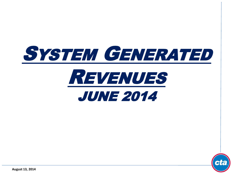



**August 13, 2014**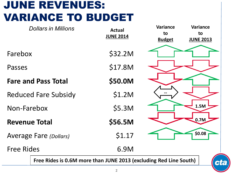# JUNE REVENUES: VARIANCE TO BUDGET

| <b>Dollars in Millions</b>                                        | <b>Actual</b><br><b>JUNE 2014</b> | <b>Variance</b><br>to<br><b>Budget</b> | <b>Variance</b><br>to<br><b>JUNE 2013</b> |
|-------------------------------------------------------------------|-----------------------------------|----------------------------------------|-------------------------------------------|
| Farebox                                                           | \$32.2M                           |                                        |                                           |
| Passes                                                            | \$17.8M                           |                                        |                                           |
| <b>Fare and Pass Total</b>                                        | \$50.0M                           |                                        |                                           |
| <b>Reduced Fare Subsidy</b>                                       | \$1.2M                            |                                        |                                           |
| Non-Farebox                                                       | \$5.3M                            |                                        | 1.5M                                      |
| <b>Revenue Total</b>                                              | \$56.5M                           |                                        | 0.7M                                      |
| <b>Average Fare (Dollars)</b>                                     | \$1.17                            |                                        | \$0.08                                    |
| <b>Free Rides</b>                                                 | 6.9M                              |                                        |                                           |
| Free Rides is 0.6M more than JUNE 2013 (excluding Red Line South) |                                   |                                        | CL                                        |

 $\overline{\cdot}$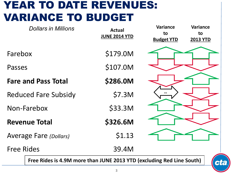## YEAR TO DATE REVENUES: VARIANCE TO BUDGET

| <b>Dollars in Millions</b>                                            | <b>Actual</b><br><b>JUNE 2014 YTD</b> | <b>Variance</b><br>to<br><b>Budget YTD</b> | <b>Variance</b><br>to<br><b>2013 YTD</b> |
|-----------------------------------------------------------------------|---------------------------------------|--------------------------------------------|------------------------------------------|
| Farebox                                                               | \$179.0M                              |                                            |                                          |
| Passes                                                                | \$107.0M                              |                                            |                                          |
| <b>Fare and Pass Total</b>                                            | \$286.0M                              |                                            |                                          |
| <b>Reduced Fare Subsidy</b>                                           | \$7.3M                                |                                            |                                          |
| Non-Farebox                                                           | \$33.3M                               |                                            |                                          |
| <b>Revenue Total</b>                                                  | \$326.6M                              |                                            |                                          |
| <b>Average Fare (Dollars)</b>                                         | \$1.13                                |                                            |                                          |
| <b>Free Rides</b>                                                     | 39.4M                                 |                                            |                                          |
| Free Rides is 4.9M more than JUNE 2013 YTD (excluding Red Line South) |                                       |                                            |                                          |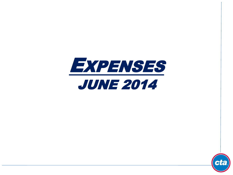



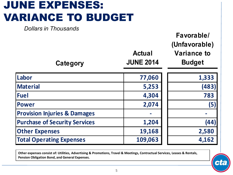# JUNE EXPENSES: VARIANCE TO BUDGET

*Dollars in Thousands*

| Category                                | <b>Actual</b><br><b>JUNE 2014</b> | Favorable/<br>(Unfavorable)<br><b>Variance to</b><br><b>Budget</b> |
|-----------------------------------------|-----------------------------------|--------------------------------------------------------------------|
| Labor                                   | 77,060                            | 1,333                                                              |
| <b>Material</b>                         | 5,253                             | (483)                                                              |
| <b>Fuel</b>                             | 4,304                             | 783                                                                |
| <b>Power</b>                            | 2,074                             | (5)                                                                |
| <b>Provision Injuries &amp; Damages</b> |                                   |                                                                    |
| <b>Purchase of Security Services</b>    | 1,204                             | (44)                                                               |
| <b>Other Expenses</b>                   | 19,168                            | 2,580                                                              |
| <b>Total Operating Expenses</b>         | 109,063                           | 4,162                                                              |

**Other expenses consist of: Utilities, Advertising & Promotions, Travel & Meetings, Contractual Services, Leases & Rentals, Pension Obligation Bond, and General Expenses.**

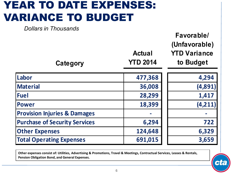## YEAR TO DATE EXPENSES: VARIANCE TO BUDGET

*Dollars in Thousands*

| PUNGI 9 III TIIVUJUITUJ<br>Category     | <b>Actual</b><br><b>YTD 2014</b> | Favorable/<br>(Unfavorable)<br><b>YTD Variance</b><br>to Budget |
|-----------------------------------------|----------------------------------|-----------------------------------------------------------------|
| Labor                                   | 477,368                          | 4,294                                                           |
| <b>Material</b>                         | 36,008                           | (4,891)                                                         |
| <b>Fuel</b>                             | 28,299                           | 1,417                                                           |
| <b>Power</b>                            | 18,399                           | (4, 211)                                                        |
| <b>Provision Injuries &amp; Damages</b> |                                  |                                                                 |
| <b>Purchase of Security Services</b>    | 6,294                            | 722                                                             |
| <b>Other Expenses</b>                   | 124,648                          | 6,329                                                           |
| <b>Total Operating Expenses</b>         | 691,015                          | 3,659                                                           |

**Other expenses consist of: Utilities, Advertising & Promotions, Travel & Meetings, Contractual Services, Leases & Rentals, Pension Obligation Bond, and General Expenses.**